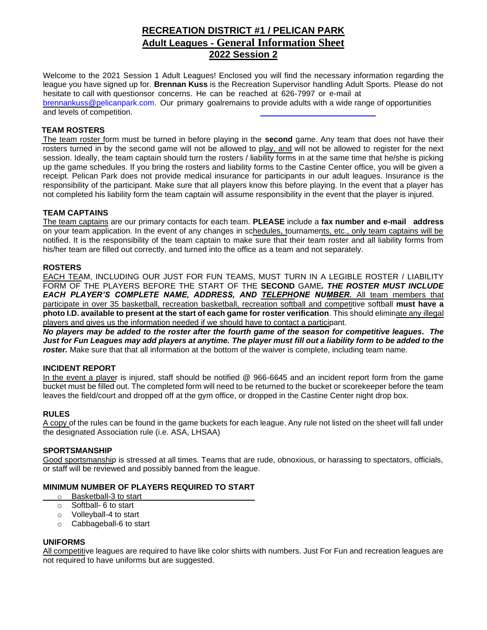# **RECREATION DISTRICT #1 / PELICAN PARK Adult Leagues - General Information Sheet 2022 Session 2**

Welcome to the 2021 Session 1 Adult Leagues! Enclosed you will find the necessary information regarding the league you have signed up for. **Brennan Kuss** is the Recreation Supervisor handling Adult Sports. Please do not hesitate to call with questionsor concerns. He can be reached at 626-7997 or e-mail at brennankuss@pelicanpark.com. Our primary goalremains to provide adults with a wide range of opportunities and levels of competition.

## **TEAM ROSTERS**

The team roster form must be turned in before playing in the **second** game. Any team that does not have their rosters turned in by the second game will not be allowed to play, and will not be allowed to register for the next session. Ideally, the team captain should turn the rosters / liability forms in at the same time that he/she is picking up the game schedules. If you bring the rosters and liability forms to the Castine Center office, you will be given a receipt. Pelican Park does not provide medical insurance for participants in our adult leagues. Insurance is the responsibility of the participant. Make sure that all players know this before playing. In the event that a player has not completed his liability form the team captain will assume responsibility in the event that the player is injured.

## **TEAM CAPTAINS**

 on your team application. In the event of any changes in schedules, tournaments, etc., only team captains will be The team captains are our primary contacts for each team. **PLEASE** include a **fax number and e-mail address** notified. It is the responsibility of the team captain to make sure that their team roster and all liability forms from his/her team are filled out correctly, and turned into the office as a team and not separately.

## **ROSTERS**

EACH TEAM, INCLUDING OUR JUST FOR FUN TEAMS, MUST TURN IN A LEGIBLE ROSTER / LIABILITY FORM OF THE PLAYERS BEFORE THE START OF THE **SECOND** GAME*. THE ROSTER MUST INCLUDE EACH PLAYER'S COMPLETE NAME, ADDRESS, AND TELEPHONE NUMBER.* All team members that participate in over 35 basketball, recreation basketball, recreation softball and competitive softball **must have a photo I.D. available to present at the start of each game for roster verification**. This should eliminate any illegal players and gives us the information needed if we should have to contact a participant.

*No players may be added to the roster after the fourth game of the season for competitive leagues. The Just for Fun Leagues may add players at anytime. The player must fill out a liability form to be added to the roster.* Make sure that that all information at the bottom of the waiver is complete, including team name.

# **INCIDENT REPORT**

In the event a player is injured, staff should be notified @ 966-6645 and an incident report form from the game bucket must be filled out. The completed form will need to be returned to the bucket or scorekeeper before the team leaves the field/court and dropped off at the gym office, or dropped in the Castine Center night drop box.

### **RULES**

A copy of the rules can be found in the game buckets for each league. Any rule not listed on the sheet will fall under the designated Association rule (i.e. ASA, LHSAA)

### **SPORTSMANSHIP**

Good sportsmanship is stressed at all times. Teams that are rude, obnoxious, or harassing to spectators, officials, or staff will be reviewed and possibly banned from the league.

### **MINIMUM NUMBER OF PLAYERS REQUIRED TO START**

- o Basketball-3 to start
- o Softball- 6 to start
- o Volleyball-4 to start
- o Cabbageball-6 to start

### **UNIFORMS**

All competitive leagues are required to have like color shirts with numbers. Just For Fun and recreation leagues are not required to have uniforms but are suggested.